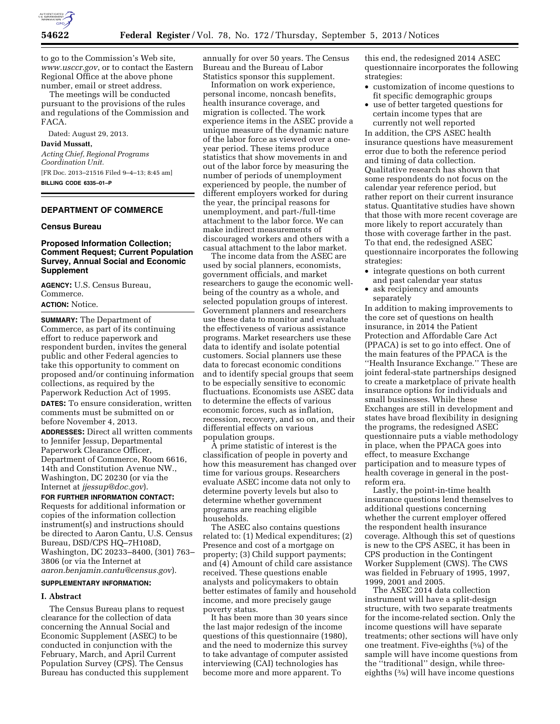

to go to the Commission's Web site, *[www.usccr.gov](http://www.usccr.gov)*, or to contact the Eastern Regional Office at the above phone number, email or street address.

The meetings will be conducted pursuant to the provisions of the rules and regulations of the Commission and FACA.

Dated: August 29, 2013.

## **David Mussatt,**

*Acting Chief, Regional Programs Coordination Unit.*  [FR Doc. 2013–21516 Filed 9–4–13; 8:45 am] **BILLING CODE 6335–01–P** 

# **DEPARTMENT OF COMMERCE**

#### **Census Bureau**

## **Proposed Information Collection; Comment Request; Current Population Survey, Annual Social and Economic Supplement**

**AGENCY:** U.S. Census Bureau, Commerce. **ACTION:** Notice.

**SUMMARY:** The Department of Commerce, as part of its continuing effort to reduce paperwork and respondent burden, invites the general public and other Federal agencies to take this opportunity to comment on proposed and/or continuing information collections, as required by the Paperwork Reduction Act of 1995.

**DATES:** To ensure consideration, written comments must be submitted on or before November 4, 2013.

**ADDRESSES:** Direct all written comments to Jennifer Jessup, Departmental Paperwork Clearance Officer, Department of Commerce, Room 6616, 14th and Constitution Avenue NW., Washington, DC 20230 (or via the Internet at *[jjessup@doc.gov](mailto:jjessup@doc.gov)*).

**FOR FURTHER INFORMATION CONTACT:**  Requests for additional information or copies of the information collection instrument(s) and instructions should be directed to Aaron Cantu, U.S. Census Bureau, DSD/CPS HQ–7H108D, Washington, DC 20233–8400, (301) 763– 3806 (or via the Internet at *[aaron.benjamin.cantu@census.gov](mailto:aaron.benjamin.cantu@census.gov)*).

#### **SUPPLEMENTARY INFORMATION:**

#### **I. Abstract**

The Census Bureau plans to request clearance for the collection of data concerning the Annual Social and Economic Supplement (ASEC) to be conducted in conjunction with the February, March, and April Current Population Survey (CPS). The Census Bureau has conducted this supplement

annually for over 50 years. The Census Bureau and the Bureau of Labor Statistics sponsor this supplement.

Information on work experience, personal income, noncash benefits, health insurance coverage, and migration is collected. The work experience items in the ASEC provide a unique measure of the dynamic nature of the labor force as viewed over a oneyear period. These items produce statistics that show movements in and out of the labor force by measuring the number of periods of unemployment experienced by people, the number of different employers worked for during the year, the principal reasons for unemployment, and part-/full-time attachment to the labor force. We can make indirect measurements of discouraged workers and others with a casual attachment to the labor market.

The income data from the ASEC are used by social planners, economists, government officials, and market researchers to gauge the economic wellbeing of the country as a whole, and selected population groups of interest. Government planners and researchers use these data to monitor and evaluate the effectiveness of various assistance programs. Market researchers use these data to identify and isolate potential customers. Social planners use these data to forecast economic conditions and to identify special groups that seem to be especially sensitive to economic fluctuations. Economists use ASEC data to determine the effects of various economic forces, such as inflation, recession, recovery, and so on, and their differential effects on various population groups.

A prime statistic of interest is the classification of people in poverty and how this measurement has changed over time for various groups. Researchers evaluate ASEC income data not only to determine poverty levels but also to determine whether government programs are reaching eligible households.

The ASEC also contains questions related to: (1) Medical expenditures; (2) Presence and cost of a mortgage on property; (3) Child support payments; and (4) Amount of child care assistance received. These questions enable analysts and policymakers to obtain better estimates of family and household income, and more precisely gauge poverty status.

It has been more than 30 years since the last major redesign of the income questions of this questionnaire (1980), and the need to modernize this survey to take advantage of computer assisted interviewing (CAI) technologies has become more and more apparent. To

this end, the redesigned 2014 ASEC questionnaire incorporates the following strategies:

- customization of income questions to fit specific demographic groups
- use of better targeted questions for certain income types that are currently not well reported

In addition, the CPS ASEC health insurance questions have measurement error due to both the reference period and timing of data collection. Qualitative research has shown that some respondents do not focus on the calendar year reference period, but rather report on their current insurance status. Quantitative studies have shown that those with more recent coverage are more likely to report accurately than those with coverage farther in the past. To that end, the redesigned ASEC questionnaire incorporates the following strategies:

- integrate questions on both current and past calendar year status
- ask recipiency and amounts separately

In addition to making improvements to the core set of questions on health insurance, in 2014 the Patient Protection and Affordable Care Act (PPACA) is set to go into effect. One of the main features of the PPACA is the ''Health Insurance Exchange.'' These are joint federal-state partnerships designed to create a marketplace of private health insurance options for individuals and small businesses. While these Exchanges are still in development and states have broad flexibility in designing the programs, the redesigned ASEC questionnaire puts a viable methodology in place, when the PPACA goes into effect, to measure Exchange participation and to measure types of health coverage in general in the postreform era.

Lastly, the point-in-time health insurance questions lend themselves to additional questions concerning whether the current employer offered the respondent health insurance coverage. Although this set of questions is new to the CPS ASEC, it has been in CPS production in the Contingent Worker Supplement (CWS). The CWS was fielded in February of 1995, 1997, 1999, 2001 and 2005.

The ASEC 2014 data collection instrument will have a split-design structure, with two separate treatments for the income-related section. Only the income questions will have separate treatments; other sections will have only one treatment. Five-eighths (5⁄8) of the sample will have income questions from the ''traditional'' design, while threeeighths (3⁄8) will have income questions